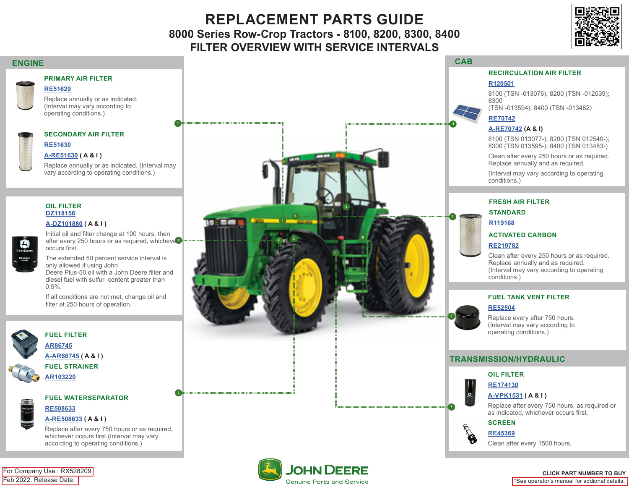# **REPLACEMENT PARTS GUIDE 8000 Series Row-Crop Tractors - 8100, 8200, 8300, 8400 FILTER OVERVIEW WITH SERVICE INTERVALS**

**7**

 **6 2 3**

 **5**

**1**

**And Will** 

 **4**



## <span id="page-0-0"></span>**ENGINE**

## **PRIMARY AIR FILTER**

## **[RE51629](https://jdparts.deere.com/servlet/com.deere.u90.jdparts.view.servlets.partinfocontroller.PartDetails?screenName=JDSearch&&partSearchNumber=RE51629)** Replace annually or as indicated.

(Interval may vary according to operating conditions.)

#### **SECONDARY AIR FILTER**

## **[RE51630](https://jdparts.deere.com/servlet/com.deere.u90.jdparts.view.servlets.partinfocontroller.PartDetails?screenName=JDSearch&&partSearchNumber=RE51630)**

### **[A-RE51630](https://jdparts.deere.com/servlet/com.deere.u90.jdparts.view.servlets.partinfocontroller.PartDetails?screenName=JDSearch&&partSearchNumber=A-RE51630) ( A & I )**

Replace annually or as indicated. (Interval may vary according to operating conditions.)

**1**

#### **OIL FILTER [DZ118156](https://jdparts.deere.com/servlet/com.deere.u90.jdparts.view.servlets.partinfocontroller.PartDetails?screenName=JDSearch&&partSearchNumber=DZ118156)**

## **[A-DZ101880](https://jdparts.deere.com/servlet/com.deere.u90.jdparts.view.servlets.partinfocontroller.PartDetails?screenName=JDSearch&&partSearchNumber=A-DZ101880) ( A & I )**

- after every 250 hours or as required, whicheve<sup>2</sup> Initial oil and filter change at 100 hours, then occurs first.
- The extended 50 percent service interval is only allowed if using John Deere Plus-50 oil with a John Deere filter and

diesel fuel with sulfur content greater than 0.5%.

If all conditions are not met, change oil and filter at 250 hours of operation.



## **FUEL FILTER [AR86745](https://jdparts.deere.com/servlet/com.deere.u90.jdparts.view.servlets.partinfocontroller.PartDetails?screenName=JDSearch&&partSearchNumber=AR86745) [A-AR86745 \(](https://jdparts.deere.com/servlet/com.deere.u90.jdparts.view.servlets.partinfocontroller.PartDetails?screenName=JDSearch&&partSearchNumber=A-AR86745) A & I ) FUEL STRAINER**

**[AR103220](https://jdparts.deere.com/servlet/com.deere.u90.jdparts.view.servlets.partinfocontroller.PartDetails?screenName=JDSearch&&partSearchNumber=AR103220)**



## **FUEL WATERSEPARATOR**

## **[RE508633](https://jdparts.deere.com/servlet/com.deere.u90.jdparts.view.servlets.partinfocontroller.PartDetails?screenName=JDSearch&&partSearchNumber=RE508633) [A-RE508633](https://jdparts.deere.com/servlet/com.deere.u90.jdparts.view.servlets.partinfocontroller.PartDetails?screenName=JDSearch&&partSearchNumber=A-RE508633) ( A & I )**

Replace after every 750 hours or as required, whichever occurs first.(Interval may vary according to operating conditions.)



#### **CAB**

## **RECIRCULATION AIR FILTER**

### **[R120501](https://jdparts.deere.com/servlet/com.deere.u90.jdparts.view.servlets.partinfocontroller.PartDetails?screenName=JDSearch&&partSearchNumber=R120501)**

8100 (TSN -013076); 8200 (TSN -012539); 8300

(TSN -013594); 8400 (TSN -013482)

## **[RE70742](https://jdparts.deere.com/servlet/com.deere.u90.jdparts.view.servlets.partinfocontroller.PartDetails?screenName=JDSearch&&partSearchNumber=RE70742)**

#### **[A-RE70742](https://jdparts.deere.com/servlet/com.deere.u90.jdparts.view.servlets.partinfocontroller.PartDetails?screenName=JDSearch&&partSearchNumber=A-RE70742) (A & I)**

8100 (TSN 013077-); 8200 (TSN 012540-); 8300 (TSN 013595-); 8400 (TSN 013483-)

Clean after every 250 hours or as required. Replace annually and as required.

(Interval may vary according to operating conditions.)

## **FRESH AIR FILTER**

## **STANDARD**

#### **[R119168](https://jdparts.deere.com/servlet/com.deere.u90.jdparts.view.servlets.partinfocontroller.PartDetails?screenName=JDSearch&&partSearchNumber=R119168)**

### **ACTIVATED CARBON**

## **[RE219782](https://jdparts.deere.com/servlet/com.deere.u90.jdparts.view.servlets.partinfocontroller.PartDetails?screenName=JDSearch&&partSearchNumber=RE219782)**

Clean after every 250 hours or as required. Replace annually and as required. (Interval may vary according to operating conditions.)

#### **FUEL TANK VENT FILTER**

## **[RE52504](https://jdparts.deere.com/servlet/com.deere.u90.jdparts.view.servlets.partinfocontroller.PartDetails?screenName=JDSearch&&partSearchNumber=RE52504)**

Replace every after 750 hours. (Interval may vary according to operating conditions.)

## **TRANSMISSION/HYDRAULIC**

## **OIL FILTER [RE174130](https://jdparts.deere.com/servlet/com.deere.u90.jdparts.view.servlets.partinfocontroller.PartDetails?screenName=JDSearch&&partSearchNumber=RE174130)**



 **7**

 **6**

 **5**

**4**

#### Replace after every 750 hours, as required or as indicated, whichever occurs first.

## **SCREEN**



Clean after every 1500 hours.

#### Feb 2022. Release Date. For Company Use : RX528209

#### **CLICK PART NUMBER TO BUY**

\*See operator's manual for addional details.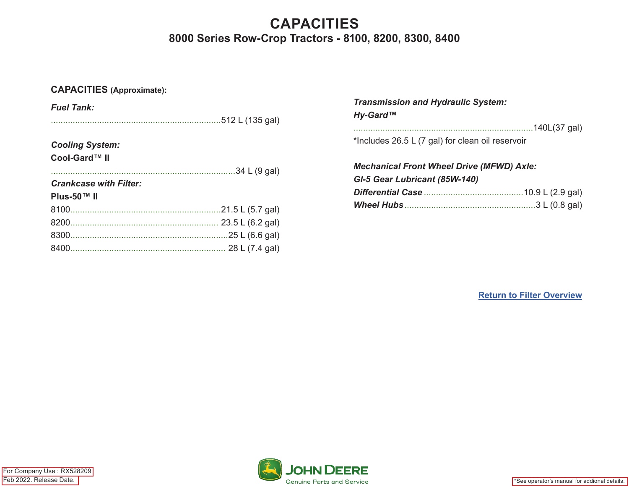# **CAPACITIES 8000 Series Row-Crop Tractors - 8100, 8200, 8300, 8400**

## **CAPACITIES (Approximate):**

| <b>Fuel Tank:</b>             |                 |
|-------------------------------|-----------------|
|                               |                 |
|                               |                 |
| <b>Cooling System:</b>        |                 |
| Cool-Gard™ II                 |                 |
|                               | .34 L (9 gal)   |
| <b>Crankcase with Filter:</b> |                 |
| Plus-50™ II                   |                 |
|                               |                 |
|                               |                 |
|                               | .25 L (6.6 gal) |
|                               | 28 L (7.4 gal)  |
|                               |                 |

| <b>Transmission and Hydraulic System:</b><br>Hy-Gard™ |  |
|-------------------------------------------------------|--|
|                                                       |  |
| *Includes 26.5 L (7 gal) for clean oil reservoir      |  |
|                                                       |  |
| <b>Mechanical Front Wheel Drive (MFWD) Axle:</b>      |  |
| GI-5 Gear Lubricant (85W-140)                         |  |
|                                                       |  |

**[Return to Filter Overview](#page-0-0)**

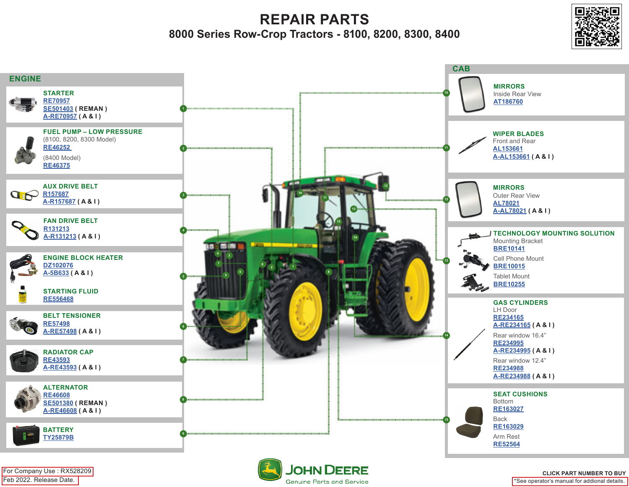**REPAIR PARTS 8000 Series Row-Crop Tractors - 8100, 8200, 8300, 8400**





Feb 2022. Release Date. For Company Use : RX528209



\*See operator's manual for addional details. **CLICK PART NUMBER TO BUY**